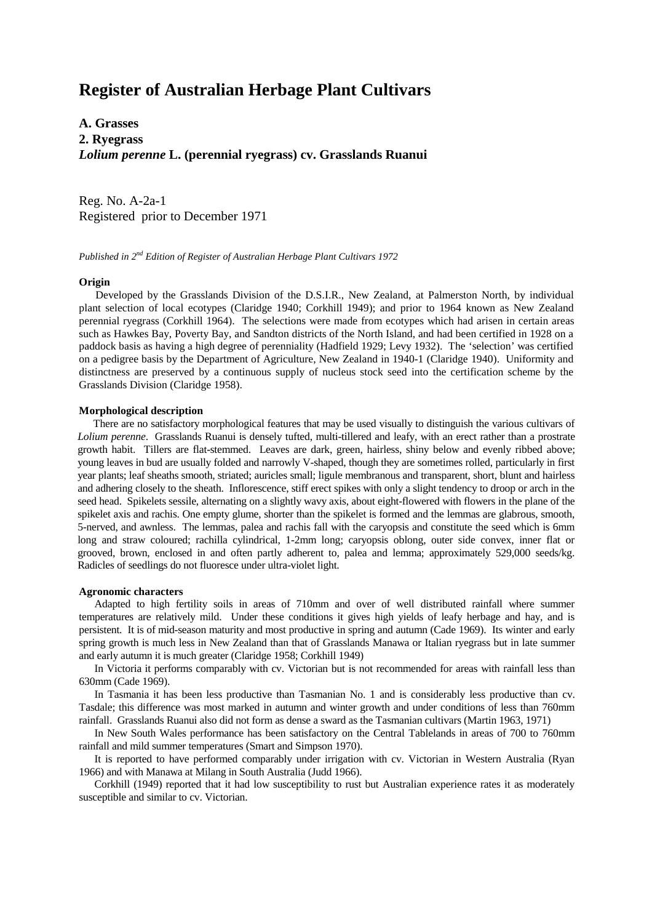# **Register of Australian Herbage Plant Cultivars**

**A. Grasses 2. Ryegrass** *Lolium perenne* **L. (perennial ryegrass) cv. Grasslands Ruanui**

Reg. No. A-2a-1 Registered prior to December 1971

*Published in 2nd Edition of Register of Australian Herbage Plant Cultivars 1972*

## **Origin**

 Developed by the Grasslands Division of the D.S.I.R., New Zealand, at Palmerston North, by individual plant selection of local ecotypes (Claridge 1940; Corkhill 1949); and prior to 1964 known as New Zealand perennial ryegrass (Corkhill 1964). The selections were made from ecotypes which had arisen in certain areas such as Hawkes Bay, Poverty Bay, and Sandton districts of the North Island, and had been certified in 1928 on a paddock basis as having a high degree of perenniality (Hadfield 1929; Levy 1932). The 'selection' was certified on a pedigree basis by the Department of Agriculture, New Zealand in 1940-1 (Claridge 1940). Uniformity and distinctness are preserved by a continuous supply of nucleus stock seed into the certification scheme by the Grasslands Division (Claridge 1958).

#### **Morphological description**

There are no satisfactory morphological features that may be used visually to distinguish the various cultivars of *Lolium perenne*. Grasslands Ruanui is densely tufted, multi-tillered and leafy, with an erect rather than a prostrate growth habit. Tillers are flat-stemmed. Leaves are dark, green, hairless, shiny below and evenly ribbed above; young leaves in bud are usually folded and narrowly V-shaped, though they are sometimes rolled, particularly in first year plants; leaf sheaths smooth, striated; auricles small; ligule membranous and transparent, short, blunt and hairless and adhering closely to the sheath. Inflorescence, stiff erect spikes with only a slight tendency to droop or arch in the seed head. Spikelets sessile, alternating on a slightly wavy axis, about eight-flowered with flowers in the plane of the spikelet axis and rachis. One empty glume, shorter than the spikelet is formed and the lemmas are glabrous, smooth, 5-nerved, and awnless. The lemmas, palea and rachis fall with the caryopsis and constitute the seed which is 6mm long and straw coloured; rachilla cylindrical, 1-2mm long; caryopsis oblong, outer side convex, inner flat or grooved, brown, enclosed in and often partly adherent to, palea and lemma; approximately 529,000 seeds/kg. Radicles of seedlings do not fluoresce under ultra-violet light.

### **Agronomic characters**

Adapted to high fertility soils in areas of 710mm and over of well distributed rainfall where summer temperatures are relatively mild. Under these conditions it gives high yields of leafy herbage and hay, and is persistent. It is of mid-season maturity and most productive in spring and autumn (Cade 1969). Its winter and early spring growth is much less in New Zealand than that of Grasslands Manawa or Italian ryegrass but in late summer and early autumn it is much greater (Claridge 1958; Corkhill 1949)

In Victoria it performs comparably with cv. Victorian but is not recommended for areas with rainfall less than 630mm (Cade 1969).

In Tasmania it has been less productive than Tasmanian No. 1 and is considerably less productive than cv. Tasdale; this difference was most marked in autumn and winter growth and under conditions of less than 760mm rainfall. Grasslands Ruanui also did not form as dense a sward as the Tasmanian cultivars (Martin 1963, 1971)

In New South Wales performance has been satisfactory on the Central Tablelands in areas of 700 to 760mm rainfall and mild summer temperatures (Smart and Simpson 1970).

It is reported to have performed comparably under irrigation with cv. Victorian in Western Australia (Ryan 1966) and with Manawa at Milang in South Australia (Judd 1966).

Corkhill (1949) reported that it had low susceptibility to rust but Australian experience rates it as moderately susceptible and similar to cv. Victorian.